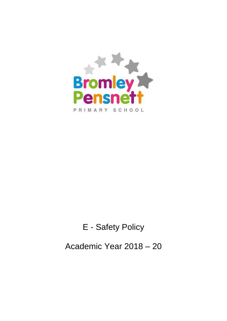

## E - Safety Policy

### Academic Year 2018 – 20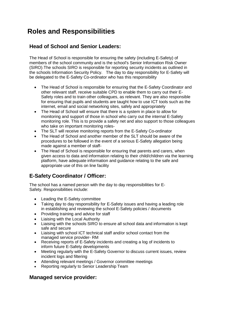### **Roles and Responsibilities**

### **Head of School and Senior Leaders:**

The Head of School is responsible for ensuring the safety (including E-Safety) of members of the school community and is the school"s Senior Information Risk Owner (SIRO).The schools SIRO is responsible for reporting security incidents as outlined in the schools Information Security Policy. The day to day responsibility for E-Safety will be delegated to the E-Safety Co-ordinator who has this responsibility

- The Head of School is responsible for ensuring that the E-Safety Coordinator and other relevant staff, receive suitable CPD to enable them to carry out their E-Safety roles and to train other colleagues, as relevant. They are also responsible for ensuring that pupils and students are taught how to use ICT tools such as the internet, email and social networking sites, safely and appropriately
- The Head of School will ensure that there is a system in place to allow for monitoring and support of those in school who carry out the internal E-Safety monitoring role. This is to provide a safety net and also support to those colleagues who take on important monitoring roles-
- The SLT will receive monitoring reports from the E-Safety Co-ordinator
- The Head of School and another member of the SLT should be aware of the procedures to be followed in the event of a serious E-Safety allegation being made against a member of staff-
- The Head of School is responsible for ensuring that parents and carers, when given access to data and information relating to their child/children via the learning platform, have adequate information and guidance relating to the safe and appropriate use of this on line facility

### **E-Safety Coordinator / Officer:**

The school has a named person with the day to day responsibilities for E-Safety. Responsibilities include:

- Leading the E-Safety committee
- Taking day to day responsibility for E-Safety issues and having a leading role in establishing and reviewing the school E-Safety policies / documents
- Providing training and advice for staff
- Liaising with the Local Authority
- Liaising with the schools SIRO to ensure all school data and information is kept safe and secure
- Liaising with school ICT technical staff and/or school contact from the managed service provider- RM
- Receiving reports of E-Safety incidents and creating a log of incidents to inform future E-Safety developments
- Meeting regularly with the E-Safety Governor to discuss current issues, review incident logs and filtering
- Attending relevant meetings / Governor committee meetings
- Reporting regularly to Senior Leadership Team

### **Managed service provider:**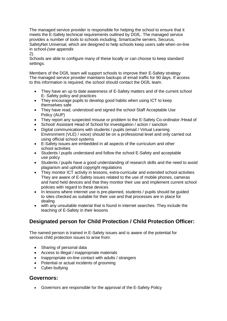The managed service provider is responsible for helping the school to ensure that it meets the E-Safety technical requirements outlined by DGfL. The managed service provides a number of tools to schools including, Smartcache servers, Securus, SafetyNet Universal, which are designed to help schools keep users safe when on-line in school-*(see appendix*

2).

Schools are able to configure many of these locally or can choose to keep standard settings.

Members of the DGfL team will support schools to improve their E-Safety strategy The managed service provider maintains backups of email traffic for 90 days. If access to this information is required, the school should contact the DGfL team.

- They have an up to date awareness of E-Safety matters and of the current school E- Safety policy and practices
- They encourage pupils to develop good habits when using ICT to keep themselves safe
- They have read, understood and signed the school Staff Acceptable Use Policy (AUP)
- They report any suspected misuse or problem to the E-Safety Co-ordinator /Head of
- School/ Assistant Head of School for investigation / action / sanction
- Digital communications with students / pupils (email / Virtual Learning Environment (VLE) / voice) should be on a professional level and only carried out using official school systems
- E-Safety issues are embedded in all aspects of the curriculum and other school activities
- Students / pupils understand and follow the school E-Safety and acceptable use policy
- Students / pupils have a good understanding of research skills and the need to avoid plagiarism and uphold copyright regulations
- They monitor ICT activity in lessons, extra-curricular and extended school activities They are aware of E-Safety issues related to the use of mobile phones, cameras and hand held devices and that they monitor their use and implement current school policies with regard to these devices
- In lessons where internet use is pre-planned, students / pupils should be guided to sites checked as suitable for their use and that processes are in place for dealing
- with any unsuitable material that is found in internet searches. They include the teaching of E-Safety in their lessons

### **Designated person for Child Protection / Child Protection Officer:**

The named person is trained in E-Safety issues and is aware of the potential for serious child protection issues to arise from:

- Sharing of personal data
- Access to illegal / inappropriate materials
- Inappropriate on-line contact with adults / strangers
- Potential or actual incidents of grooming
- Cyber-bullying

#### **Governors:**

Governors are responsible for the approval of the E-Safety Policy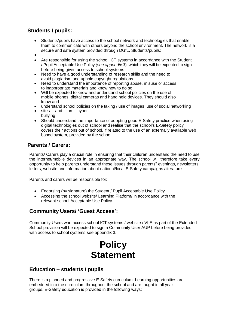### **Students / pupils:**

- Students/pupils have access to the school network and technologies that enable them to communicate with others beyond the school environment. The network is a secure and safe system provided through DGfL. Students/pupils:
- $\bullet$
- Are responsible for using the school ICT systems in accordance with the Student / Pupil Acceptable Use Policy *(see appendix 3*), which they will be expected to sign before being given access to school systems
- Need to have a good understanding of research skills and the need to avoid plagiarism and uphold copyright regulations
- Need to understand the importance of reporting abuse, misuse or access to inappropriate materials and know how to do so
- Will be expected to know and understand school policies on the use of mobile phones, digital cameras and hand held devices. They should also know and
- understand school policies on the taking / use of images, use of social networking
- sites and on cyberbullying
- Should understand the importance of adopting good E-Safety practice when using digital technologies out of school and realise that the school"s E-Safety policy covers their actions out of school, if related to the use of an externally available web based system, provided by the school

### **Parents / Carers:**

Parents/ Carers play a crucial role in ensuring that their children understand the need to use the internet/mobile devices in an appropriate way. The school will therefore take every opportunity to help parents understand these issues through parents" evenings, newsletters, letters, website and information about national/local E-Safety campaigns /literature

Parents and carers will be responsible for:

- Endorsing (by signature) the Student / Pupil Acceptable Use Policy
- Accessing the school website/ Learning Platform/ in accordance with the relevant school Acceptable Use Policy.

### **Community Users/ 'Guest Access':**

Community Users who access school ICT systems / website / VLE as part of the Extended School provision will be expected to sign a Community User AUP before being provided with access to school systems-see appendix 3.

# **Policy Statement**

### **Education – students / pupils**

There is a planned and progressive E-Safety curriculum. Learning opportunities are embedded into the curriculum throughout the school and are taught in all year groups. E-Safety education is provided in the following ways: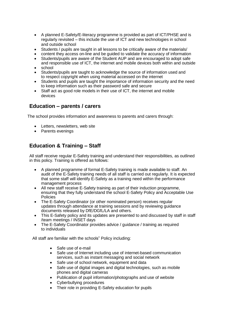- A planned E-Safety/E-literacy programme is provided as part of ICT/PHSE and is regularly revisited – this include the use of ICT and new technologies in school and outside school
- Students / pupils are taught in all lessons to be critically aware of the materials/
- content they access on-line and be guided to validate the accuracy of information
- Students/pupils are aware of the Student AUP and are encouraged to adopt safe and responsible use of ICT, the internet and mobile devices both within and outside
- school
- Students/pupils are taught to acknowledge the source of information used and to respect copyright when using material accessed on the internet
- Students and pupils are taught the importance of information security and the need to keep information such as their password safe and secure
- Staff act as good role models in their use of ICT, the internet and mobile devices

### **Education – parents / carers**

The school provides information and awareness to parents and carers through:

- Letters, newsletters, web site
- Parents evenings

### **Education & Training – Staff**

All staff receive regular E-Safety training and understand their responsibilities, as outlined in this policy. Training is offered as follows:

- A planned programme of formal E-Safety training is made available to staff. An audit of the E-Safety training needs of all staff is carried out regularly. It is expected that some staff will identify E-Safety as a training need within the performance management process
- All new staff receive E-Safety training as part of their induction programme, ensuring that they fully understand the school E-Safety Policy and Acceptable Use **Policies**
- The E-Safety Coordinator (or other nominated person) receives regular updates through attendance at training sessions and by reviewing guidance documents released by DfE/DGfL/LA and others.
- This E-Safety policy and its updates are presented to and discussed by staff in staff /team meetings / INSET days
- The E-Safety Coordinator provides advice / guidance / training as required to individuals

All staff are familiar with the schools" Policy including:

- Safe use of e-mail
- Safe use of Internet including use of [internet-b](http://safety.ngfl.gov.uk/schools/)ased communication services, such as instant messaging and social network
- Safe use of school network, equipment and data
- Safe use of digital images and digital technologies, such as mobile phones and digital cameras
- Publication of pupil information/photographs and use of website
- Cyberbullying procedures
- Their role in providing E-Safety education for pupils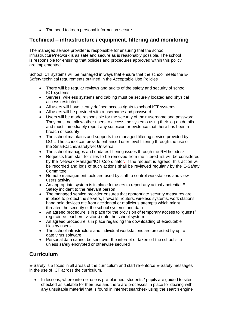• The need to keep personal information secure

### **Technical – infrastructure / equipment, filtering and monitoring**

The managed service provider is responsible for ensuring that the school infrastructure/network is as safe and secure as is reasonably possible. The school is responsible for ensuring that policies and procedures approved within this policy are implemented.

School ICT systems will be managed in ways that ensure that the school meets the E-Safety technical requirements outlined in the Acceptable Use Policies

- There will be regular reviews and audits of the safety and security of school ICT systems
- Servers, wireless systems and cabling must be securely located and physical access restricted
- All users will have clearly defined access rights to school ICT systems
- All users will be provided with a username and password
- Users will be made responsible for the security of their username and password. They must not allow other users to access the systems using their log on details and must immediately report any suspicion or evidence that there has been a breach of security
- The school maintains and supports the managed filtering service provided by DGfL The school can provide enhanced user-level filtering through the use of the SmartCache/SafetyNet Universal
- The school manages and updates filtering issues through the RM helpdesk
- Requests from staff for sites to be removed from the filtered list will be considered by the Network Manager/ICT Coordinator. If the request is agreed, this action will be recorded and logs of such actions shall be reviewed regularly by the E-Safety **Committee**
- Remote management tools are used by staff to control workstations and view users activity
- An appropriate system is in place for users to report any actual / potential E-Safety incident to the relevant person
- The managed service provider ensures that appropriate security measures are in place to protect the servers, firewalls, routers, wireless systems, work stations, hand held devices etc from accidental or malicious attempts which might threaten the security of the school systems and data
- An agreed procedure is in place for the provision of temporary access to "guests" (eg trainee teachers, visitors) onto the school system
- An agreed procedure is in place regarding the downloading of executable files by users
- The school infrastructure and individual workstations are protected by up to date virus software
- Personal data cannot be sent over the internet or taken off the school site unless safely encrypted or otherwise secured

### **Curriculum**

E-Safety is a focus in all areas of the curriculum and staff re-enforce E-Safety messages in the use of ICT across the curriculum.

• In lessons, where internet use is pre-planned, students / pupils are guided to sites checked as suitable for their use and there are processes in place for dealing with any unsuitable material that is found in internet searches- using the search engine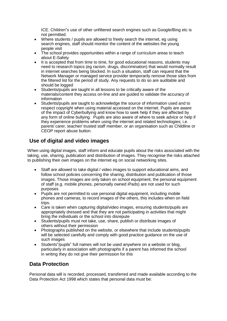ICE. Children"s use of other unfiltered search engines such as Google/Bing etc is not permitted.

- Where students / pupils are allowed to freely search the internet, eg using search engines, staff should monitor the content of the websites the young people visit
- The school provides opportunities within a range of curriculum areas to teach about E-Safety
- It is accepted that from time to time, for good educational reasons, students may need to research topics (eg racism, drugs, discrimination) that would normally result in internet searches being blocked. In such a situation, staff can request that the Network Manager or managed service provider temporarily remove those sites from the filtered list for the period of study. Any requests to do so are auditable and should be logged
- Students/pupils are taught in all lessons to be critically aware of the materials/content they access on-line and are guided to validate the accuracy of information
- Students/pupils are taught to acknowledge the source of information used and to respect copyright when using material accessed on the internet. Pupils are aware of the impact of Cyberbullying and know how to seek help if they are affected by any form of online bullying. Pupils are also aware of where to seek advice or help if they experience problems when using the internet and related technologies; i.e. parent/ carer, teacher/ trusted staff member, or an organisation such as Childline or CEOP report abuse button.

### **Use of digital and video images**

When using digital images, staff inform and educate pupils about the risks associated with the taking, use, sharing, publication and distribution of images. They recognise the risks attached to publishing their own images on the internet eg on social networking sites.

- Staff are allowed to take digital / video images to support educational aims, and follow school policies concerning the sharing, distribution and publication of those images. Those images are only taken on school equipment, the personal equipment of staff (e.g. mobile phones, personally owned iPads) are not used for such purposes
- Pupils are not permitted to use personal digital equipment, including mobile phones and cameras, to record images of the others, this includes when on field trips.
- Care is taken when capturing digital/video images, ensuring students/pupils are appropriately dressed and that they are not participating in activities that might bring the individuals or the school into disrepute
- Students/pupils must not take, use, share, publish or distribute images of others without their permission
- Photographs published on the website, or elsewhere that include students/pupils will be selected carefully and comply with good practice guidance on the use of such images
- Students"/pupils" full names will not be used anywhere on a website or blog, particularly in association with photographs if a parent has informed the school in writing they do not give their permission for this

### **Data Protection**

Personal data will is recorded, processed, transferred and made available according to the Data Protection Act 1998 which states that personal data must be: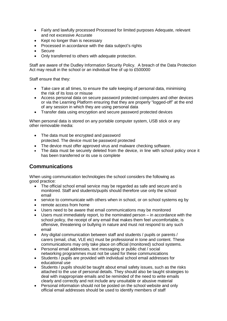- Fairly and lawfully processed Processed for limited purposes Adequate, relevant and not excessive Accurate
- Kept no longer than is necessary
- Processed in accordance with the data subject<sup>®</sup>s rights
- Secure
- Only transferred to others with adequate protection.

Staff are aware of the Dudley Information Security Policy. A breach of the Data Protection Act may result in the school or an individual fine of up to £500000

Staff ensure that they:

- Take care at all times, to ensure the safe keeping of personal data, minimising the risk of its loss or misuse
- Access personal data on secure password protected computers and other devices or via the Learning Platform ensuring that they are properly "logged-off" at the end of any session in which they are using personal data
- Transfer data using encryption and secure password protected devices

When personal data is stored on any portable computer system, USB stick or any other removable media:

- The data must be encrypted and password protected. The device must be password protected
- The device must offer approved virus and malware checking software.
- The data must be securely deleted from the device, in line with school policy once it has been transferred or its use is complete

### **Communications**

When using communication technologies the school considers the following as good practice:

- The official school email service may be regarded as safe and secure and is monitored. Staff and students/pupils should therefore use only the school email
- service to communicate with others when in school, or on school systems eg by
- remote access from home
- Users need to be aware that email communications may be monitored
- Users must immediately report, to the nominated person in accordance with the school policy, the receipt of any email that makes them feel uncomfortable, is offensive, threatening or bullying in nature and must not respond to any such email
- Any digital communication between staff and students / pupils or parents / carers (email, chat, VLE etc) must be professional in tone and content. These communications may only take place on official (monitored) school systems.
- Personal email addresses, text messaging or public chat / social networking programmes must not be used for these communications
- Students / pupils are provided with individual school email addresses for educational use
- Students / pupils should be taught about email safety issues, such as the risks attached to the use of personal details. They should also be taught strategies to deal with inappropriate emails and be reminded of the need to write emails clearly and correctly and not include any unsuitable or abusive material
- Personal information should not be posted on the school website and only official email addresses should be used to identify members of staff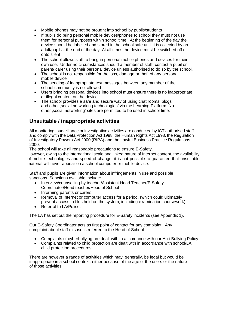- Mobile phones may not be brought into school by pupils/students
- If pupils do bring personal mobile devices/phones to school they must not use them for personal purposes within school time. At the beginning of the day the device should be labelled and stored in the school safe until it is collected by an adult/pupil at the end of the day. At all times the device must be switched off or onto silent
- The school allows staff to bring in personal mobile phones and devices for their own use. Under no circumstances should a member of staff contact a pupil or parent/ carer using their personal device unless authorised to do so by the school.
- The school is not responsible for the loss, damage or theft of any personal mobile device
- The sending of inappropriate text messages between any member of the school community is not allowed
- Users bringing personal devices into school must ensure there is no inappropriate or illegal content on the device
- The school provides a safe and secure way of using chat rooms, blogs and other "social networking technologies" via the Learning Platform. No other "social networking" sites are permitted to be used in school time.

### **Unsuitable / inappropriate activities**

All monitoring, surveillance or investigative activities are conducted by ICT authorised staff and comply with the Data Protection Act 1998, the Human Rights Act 1998, the Regulation of Investigatory Powers Act 2000 (RIPA) and the Lawful Business Practice Regulations 2000.

The school will take all reasonable precautions to ensure E-Safety.

However, owing to the international scale and linked nature of Internet content, the availability of mobile technologies and speed of change, it is not possible to guarantee that unsuitable material will never appear on a school computer or mobile device.

Staff and pupils are given information about infringements in use and possible sanctions. Sanctions available include:

- Interview/counselling by teacher/Assistant Head Teacher/E-Safety Coordinator/Head teacher/Head of School
- Informing parents or carers.
- Removal of Internet or computer access for a period, (which could ultimately prevent access to files held on the system, including examination coursework).
- Referral to LA/Police.

The LA has set out the reporting procedure for E-Safety incidents (see Appendix 1).

Our E-Safety Coordinator acts as first point of contact for any complaint. Any complaint about staff misuse is referred to the Head of School.

- Complaints of cyberbullying are dealt with in accordance with our Anti-Bullying Policy.
- Complaints related to child protection are dealt with in accordance with school/LA child protection procedures.

There are however a range of activities which may, generally, be legal but would be inappropriate in a school context, either because of the age of the users or the nature of those activities.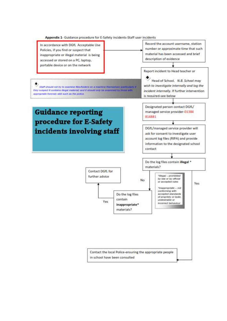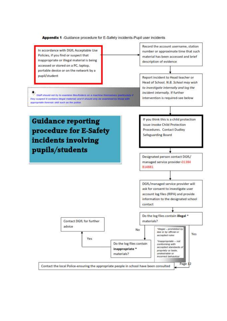Appendix 1 - Guidance procedure for E-Safety incidents-Pupil user incidents